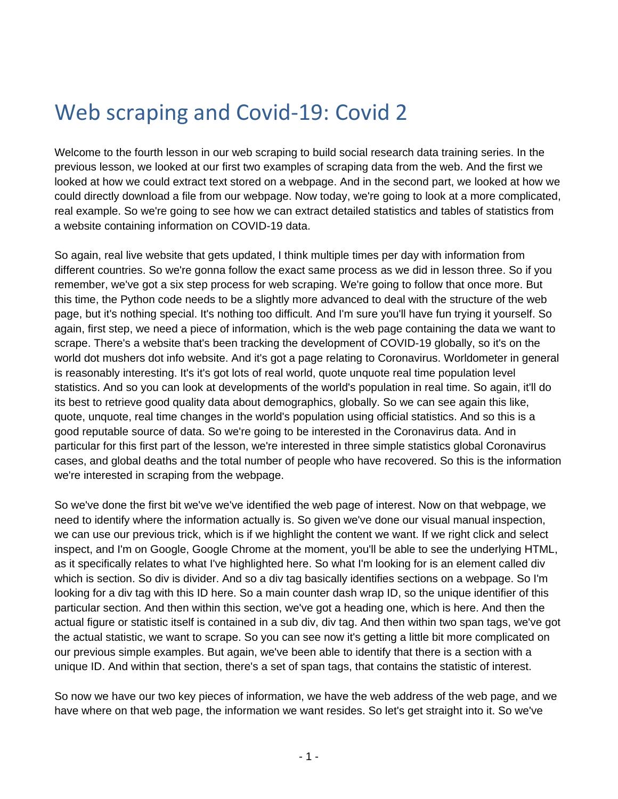## Web scraping and Covid-19: Covid 2

Welcome to the fourth lesson in our web scraping to build social research data training series. In the previous lesson, we looked at our first two examples of scraping data from the web. And the first we looked at how we could extract text stored on a webpage. And in the second part, we looked at how we could directly download a file from our webpage. Now today, we're going to look at a more complicated, real example. So we're going to see how we can extract detailed statistics and tables of statistics from a website containing information on COVID-19 data.

So again, real live website that gets updated, I think multiple times per day with information from different countries. So we're gonna follow the exact same process as we did in lesson three. So if you remember, we've got a six step process for web scraping. We're going to follow that once more. But this time, the Python code needs to be a slightly more advanced to deal with the structure of the web page, but it's nothing special. It's nothing too difficult. And I'm sure you'll have fun trying it yourself. So again, first step, we need a piece of information, which is the web page containing the data we want to scrape. There's a website that's been tracking the development of COVID-19 globally, so it's on the world dot mushers dot info website. And it's got a page relating to Coronavirus. Worldometer in general is reasonably interesting. It's it's got lots of real world, quote unquote real time population level statistics. And so you can look at developments of the world's population in real time. So again, it'll do its best to retrieve good quality data about demographics, globally. So we can see again this like, quote, unquote, real time changes in the world's population using official statistics. And so this is a good reputable source of data. So we're going to be interested in the Coronavirus data. And in particular for this first part of the lesson, we're interested in three simple statistics global Coronavirus cases, and global deaths and the total number of people who have recovered. So this is the information we're interested in scraping from the webpage.

So we've done the first bit we've we've identified the web page of interest. Now on that webpage, we need to identify where the information actually is. So given we've done our visual manual inspection, we can use our previous trick, which is if we highlight the content we want. If we right click and select inspect, and I'm on Google, Google Chrome at the moment, you'll be able to see the underlying HTML, as it specifically relates to what I've highlighted here. So what I'm looking for is an element called div which is section. So div is divider. And so a div tag basically identifies sections on a webpage. So I'm looking for a div tag with this ID here. So a main counter dash wrap ID, so the unique identifier of this particular section. And then within this section, we've got a heading one, which is here. And then the actual figure or statistic itself is contained in a sub div, div tag. And then within two span tags, we've got the actual statistic, we want to scrape. So you can see now it's getting a little bit more complicated on our previous simple examples. But again, we've been able to identify that there is a section with a unique ID. And within that section, there's a set of span tags, that contains the statistic of interest.

So now we have our two key pieces of information, we have the web address of the web page, and we have where on that web page, the information we want resides. So let's get straight into it. So we've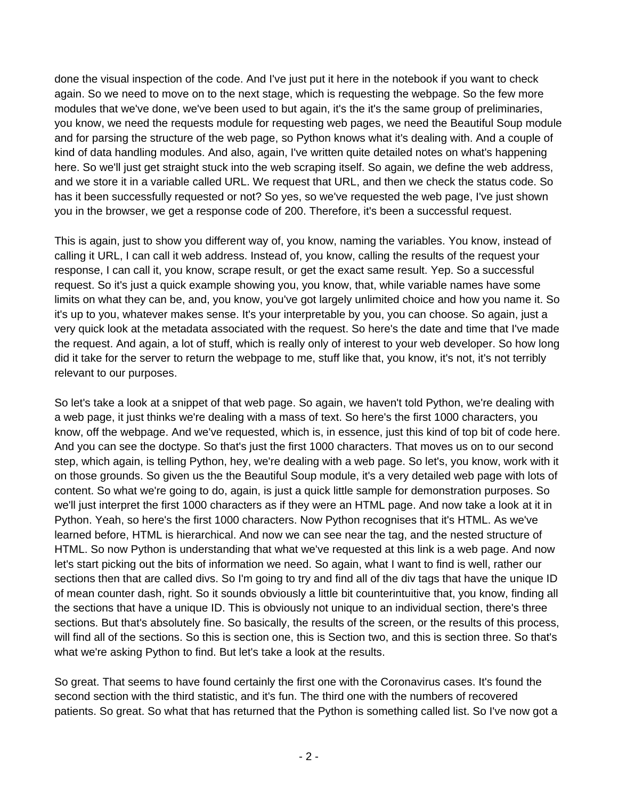done the visual inspection of the code. And I've just put it here in the notebook if you want to check again. So we need to move on to the next stage, which is requesting the webpage. So the few more modules that we've done, we've been used to but again, it's the it's the same group of preliminaries, you know, we need the requests module for requesting web pages, we need the Beautiful Soup module and for parsing the structure of the web page, so Python knows what it's dealing with. And a couple of kind of data handling modules. And also, again, I've written quite detailed notes on what's happening here. So we'll just get straight stuck into the web scraping itself. So again, we define the web address, and we store it in a variable called URL. We request that URL, and then we check the status code. So has it been successfully requested or not? So yes, so we've requested the web page, I've just shown you in the browser, we get a response code of 200. Therefore, it's been a successful request.

This is again, just to show you different way of, you know, naming the variables. You know, instead of calling it URL, I can call it web address. Instead of, you know, calling the results of the request your response, I can call it, you know, scrape result, or get the exact same result. Yep. So a successful request. So it's just a quick example showing you, you know, that, while variable names have some limits on what they can be, and, you know, you've got largely unlimited choice and how you name it. So it's up to you, whatever makes sense. It's your interpretable by you, you can choose. So again, just a very quick look at the metadata associated with the request. So here's the date and time that I've made the request. And again, a lot of stuff, which is really only of interest to your web developer. So how long did it take for the server to return the webpage to me, stuff like that, you know, it's not, it's not terribly relevant to our purposes.

So let's take a look at a snippet of that web page. So again, we haven't told Python, we're dealing with a web page, it just thinks we're dealing with a mass of text. So here's the first 1000 characters, you know, off the webpage. And we've requested, which is, in essence, just this kind of top bit of code here. And you can see the doctype. So that's just the first 1000 characters. That moves us on to our second step, which again, is telling Python, hey, we're dealing with a web page. So let's, you know, work with it on those grounds. So given us the the Beautiful Soup module, it's a very detailed web page with lots of content. So what we're going to do, again, is just a quick little sample for demonstration purposes. So we'll just interpret the first 1000 characters as if they were an HTML page. And now take a look at it in Python. Yeah, so here's the first 1000 characters. Now Python recognises that it's HTML. As we've learned before, HTML is hierarchical. And now we can see near the tag, and the nested structure of HTML. So now Python is understanding that what we've requested at this link is a web page. And now let's start picking out the bits of information we need. So again, what I want to find is well, rather our sections then that are called divs. So I'm going to try and find all of the div tags that have the unique ID of mean counter dash, right. So it sounds obviously a little bit counterintuitive that, you know, finding all the sections that have a unique ID. This is obviously not unique to an individual section, there's three sections. But that's absolutely fine. So basically, the results of the screen, or the results of this process, will find all of the sections. So this is section one, this is Section two, and this is section three. So that's what we're asking Python to find. But let's take a look at the results.

So great. That seems to have found certainly the first one with the Coronavirus cases. It's found the second section with the third statistic, and it's fun. The third one with the numbers of recovered patients. So great. So what that has returned that the Python is something called list. So I've now got a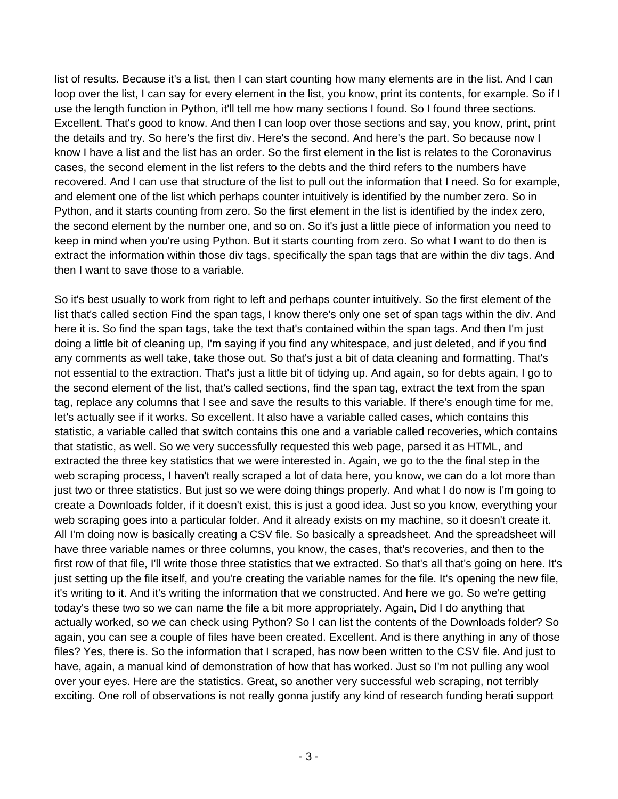list of results. Because it's a list, then I can start counting how many elements are in the list. And I can loop over the list, I can say for every element in the list, you know, print its contents, for example. So if I use the length function in Python, it'll tell me how many sections I found. So I found three sections. Excellent. That's good to know. And then I can loop over those sections and say, you know, print, print the details and try. So here's the first div. Here's the second. And here's the part. So because now I know I have a list and the list has an order. So the first element in the list is relates to the Coronavirus cases, the second element in the list refers to the debts and the third refers to the numbers have recovered. And I can use that structure of the list to pull out the information that I need. So for example, and element one of the list which perhaps counter intuitively is identified by the number zero. So in Python, and it starts counting from zero. So the first element in the list is identified by the index zero, the second element by the number one, and so on. So it's just a little piece of information you need to keep in mind when you're using Python. But it starts counting from zero. So what I want to do then is extract the information within those div tags, specifically the span tags that are within the div tags. And then I want to save those to a variable.

So it's best usually to work from right to left and perhaps counter intuitively. So the first element of the list that's called section Find the span tags, I know there's only one set of span tags within the div. And here it is. So find the span tags, take the text that's contained within the span tags. And then I'm just doing a little bit of cleaning up, I'm saying if you find any whitespace, and just deleted, and if you find any comments as well take, take those out. So that's just a bit of data cleaning and formatting. That's not essential to the extraction. That's just a little bit of tidying up. And again, so for debts again, I go to the second element of the list, that's called sections, find the span tag, extract the text from the span tag, replace any columns that I see and save the results to this variable. If there's enough time for me, let's actually see if it works. So excellent. It also have a variable called cases, which contains this statistic, a variable called that switch contains this one and a variable called recoveries, which contains that statistic, as well. So we very successfully requested this web page, parsed it as HTML, and extracted the three key statistics that we were interested in. Again, we go to the the final step in the web scraping process, I haven't really scraped a lot of data here, you know, we can do a lot more than just two or three statistics. But just so we were doing things properly. And what I do now is I'm going to create a Downloads folder, if it doesn't exist, this is just a good idea. Just so you know, everything your web scraping goes into a particular folder. And it already exists on my machine, so it doesn't create it. All I'm doing now is basically creating a CSV file. So basically a spreadsheet. And the spreadsheet will have three variable names or three columns, you know, the cases, that's recoveries, and then to the first row of that file, I'll write those three statistics that we extracted. So that's all that's going on here. It's just setting up the file itself, and you're creating the variable names for the file. It's opening the new file, it's writing to it. And it's writing the information that we constructed. And here we go. So we're getting today's these two so we can name the file a bit more appropriately. Again, Did I do anything that actually worked, so we can check using Python? So I can list the contents of the Downloads folder? So again, you can see a couple of files have been created. Excellent. And is there anything in any of those files? Yes, there is. So the information that I scraped, has now been written to the CSV file. And just to have, again, a manual kind of demonstration of how that has worked. Just so I'm not pulling any wool over your eyes. Here are the statistics. Great, so another very successful web scraping, not terribly exciting. One roll of observations is not really gonna justify any kind of research funding herati support